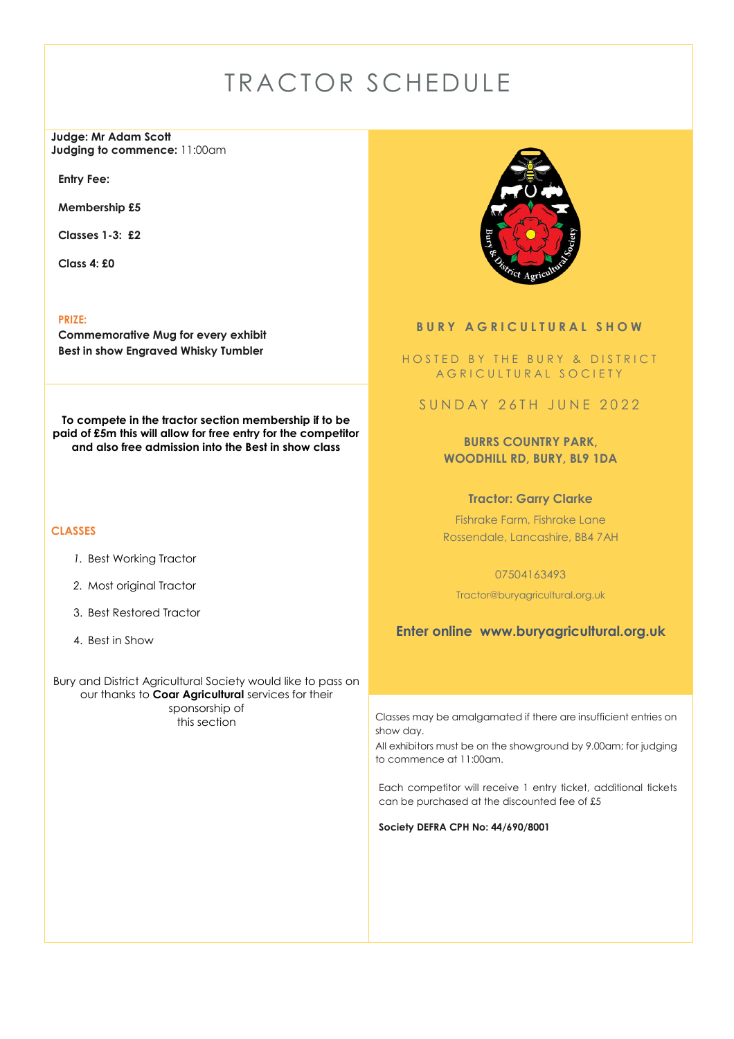# TRACTOR SCHEDULE

**Judge: Mr Adam Scott Judging to commence:** 11:00am

**Entry Fee:** 

**Membership £5**

**Classes 1-3: £2**

**Class 4: £0**

**PRIZE:**

**Commemorative Mug for every exhibit Best in show Engraved Whisky Tumbler**

**To compete in the tractor section membership if to be paid of £5m this will allow for free entry for the competitor and also free admission into the Best in show class**

#### **CLASSES**

- *1.* Best Working Tractor
- *2.* Most original Tractor
- 3. Best Restored Tractor
- 4. Best in Show

Bury and District Agricultural Society would like to pass on our thanks to **Coar Agricultural** services for their sponsorship of<br>this section



### **BURY AGRICULTURAL SHOW**

HOSTED BY THE BURY & DISTRICT A G R I C U L T U R A L S O C I E T Y

SUNDAY 26TH JUNE 2022

**BURRS COUNTRY PARK, WOODHILL RD, BURY, BL9 1DA**

**Tractor: Garry Clarke**

Fishrake Farm, Fishrake Lane Rossendale, Lancashire, BB4 7AH

07504163493

Tractor@buryagricultural.org.uk

**Enter online www.buryagricultural.org.uk**

Classes may be amalgamated if there are insufficient entries on show day.

All exhibitors must be on the showground by 9.00am; for judging to commence at 11:00am.

Each competitor will receive 1 entry ticket, additional tickets can be purchased at the discounted fee of £5

**Society DEFRA CPH No: 44/690/8001**